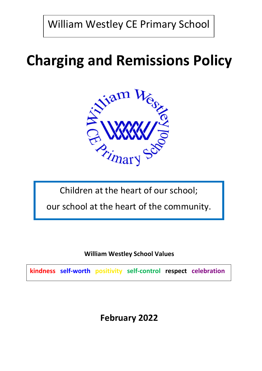William Westley CE Primary School

# **Charging and Remissions Policy**



Children at the heart of our school;

our school at the heart of the community.

**William Westley School Values**

**kindness self-worth positivity self-control respect celebration**

# **February 2022**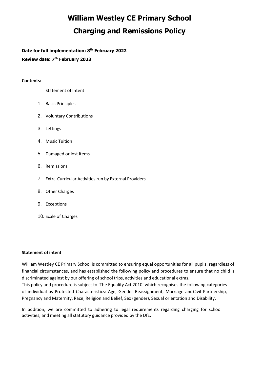# **William Westley CE Primary School Charging and Remissions Policy**

**Date for full implementation: 8 th February 2022**

**Review date: 7 th February 2023**

# **Contents:**

Statement of Intent

- 1. Basic Principles
- 2. Voluntary Contributions
- 3. Lettings
- 4. Music Tuition
- 5. Damaged or lost items
- 6. Remissions
- 7. Extra-Curricular Activities run by External Providers
- 8. Other Charges
- 9. Exceptions
- 10. Scale of Charges

## **Statement of intent**

William Westley CE Primary School is committed to ensuring equal opportunities for all pupils, regardless of financial circumstances, and has established the following policy and procedures to ensure that no child is discriminated against by our offering of school trips, activities and educational extras.

This policy and procedure is subject to 'The Equality Act 2010' which recognises the following categories of individual as Protected Characteristics: Age, Gender Reassignment, Marriage andCivil Partnership, Pregnancy and Maternity, Race, Religion and Belief, Sex (gender), Sexual orientation and Disability.

In addition, we are committed to adhering to legal requirements regarding charging for school activities, and meeting all statutory guidance provided by the DfE.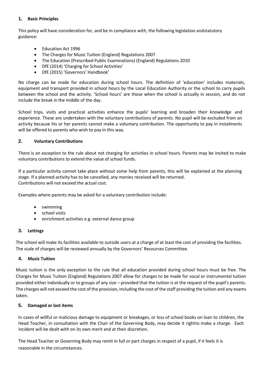## **1. Basic Principles**

This policy will have consideration for, and be in compliance with, the following legislation andstatutory guidance:

- Education Act 1996
- The Charges for Music Tuition (England) Regulations 2007
- The Education (Prescribed Public Examinations) (England) Regulations 2010
- DfE (2014) 'Charging for School Activities'
- DfE (2015) 'Governors' Handbook'

No charge can be made for education during school hours. The definition of 'education' includes materials, equipment and transport provided in school hours by the Local Education Authority or the school to carry pupils between the school and the activity. 'School hours' are those when the school is actually in session, and do not include the break in the middle of the day.

School trips, visits and practical activities enhance the pupils' learning and broaden their knowledge and experience. These are undertaken with the voluntary contributions of parents. No pupil will be excluded from an activity because his or her parents cannot make a voluntary contribution. The opportunity to pay in instalments will be offered to parents who wish to pay in this way.

## **2. Voluntary Contributions**

There is an exception to the rule about not charging for activities in school hours. Parents may be invited to make voluntary contributions to extend the value of school funds.

If a particular activity cannot take place without some help from parents, this will be explained at the planning stage. If a planned activity has to be cancelled, any monies received will be returned. Contributions will not exceed the actual cost.

Examples where parents may be asked for a voluntary contribution include:

- swimming
- school visits
- enrichment activities e.g. external dance group

## **3. Lettings**

The school will make its facilities available to outside users at a charge of at least the cost of providing the facilities. The scale of charges will be reviewed annually by the Governors' Resources Committee.

## **4. Music Tuition**

Music tuition is the only exception to the rule that all education provided during school hours must be free. The Charges for Music Tuition (England) Regulations 2007 allow for charges to be made for vocal or instrumental tuition provided either individually or to groups of any size – provided that the tuition is at the request of the pupil's parents. The charges will not exceed the cost of the provision, including the cost of the staff providing the tuition and any exams taken.

## **5. Damaged or lost items**

In cases of willful or malicious damage to equipment or breakages, or loss of school books on loan to children, the Head Teacher, in consultation with the Chair of the Governing Body, may decide it rightto make a charge. Each incident will be dealt with on its own merit and at their discretion.

The Head Teacher or Governing Body may remit in full or part charges in respect of a pupil, if it feels it is reasonable in the circumstances.